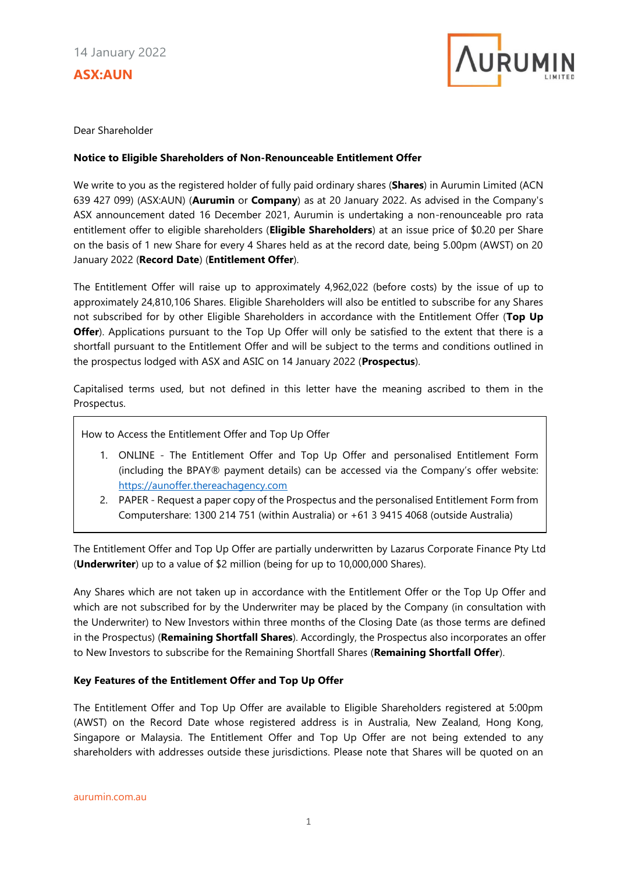# **ASX:AUN**



Dear Shareholder

### **Notice to Eligible Shareholders of Non-Renounceable Entitlement Offer**

We write to you as the registered holder of fully paid ordinary shares (**Shares**) in Aurumin Limited (ACN 639 427 099) (ASX:AUN) (**Aurumin** or **Company**) as at 20 January 2022. As advised in the Company's ASX announcement dated 16 December 2021, Aurumin is undertaking a non-renounceable pro rata entitlement offer to eligible shareholders (**Eligible Shareholders**) at an issue price of \$0.20 per Share on the basis of 1 new Share for every 4 Shares held as at the record date, being 5.00pm (AWST) on 20 January 2022 (**Record Date**) (**Entitlement Offer**).

The Entitlement Offer will raise up to approximately 4,962,022 (before costs) by the issue of up to approximately 24,810,106 Shares. Eligible Shareholders will also be entitled to subscribe for any Shares not subscribed for by other Eligible Shareholders in accordance with the Entitlement Offer (**Top Up Offer**). Applications pursuant to the Top Up Offer will only be satisfied to the extent that there is a shortfall pursuant to the Entitlement Offer and will be subject to the terms and conditions outlined in the prospectus lodged with ASX and ASIC on 14 January 2022 (**Prospectus**).

Capitalised terms used, but not defined in this letter have the meaning ascribed to them in the Prospectus.

How to Access the Entitlement Offer and Top Up Offer

- 1. ONLINE The Entitlement Offer and Top Up Offer and personalised Entitlement Form (including the BPAY® payment details) can be accessed via the Company's offer website: [https://aunoffer.thereachagency.com](https://aunoffer.thereachagency.com/)
- 2. PAPER Request a paper copy of the Prospectus and the personalised Entitlement Form from Computershare: 1300 214 751 (within Australia) or +61 3 9415 4068 (outside Australia)

The Entitlement Offer and Top Up Offer are partially underwritten by Lazarus Corporate Finance Pty Ltd (**Underwriter**) up to a value of \$2 million (being for up to 10,000,000 Shares).

Any Shares which are not taken up in accordance with the Entitlement Offer or the Top Up Offer and which are not subscribed for by the Underwriter may be placed by the Company (in consultation with the Underwriter) to New Investors within three months of the Closing Date (as those terms are defined in the Prospectus) (**Remaining Shortfall Shares**). Accordingly, the Prospectus also incorporates an offer to New Investors to subscribe for the Remaining Shortfall Shares (**Remaining Shortfall Offer**).

## **Key Features of the Entitlement Offer and Top Up Offer**

The Entitlement Offer and Top Up Offer are available to Eligible Shareholders registered at 5:00pm (AWST) on the Record Date whose registered address is in Australia, New Zealand, Hong Kong, Singapore or Malaysia. The Entitlement Offer and Top Up Offer are not being extended to any shareholders with addresses outside these jurisdictions. Please note that Shares will be quoted on an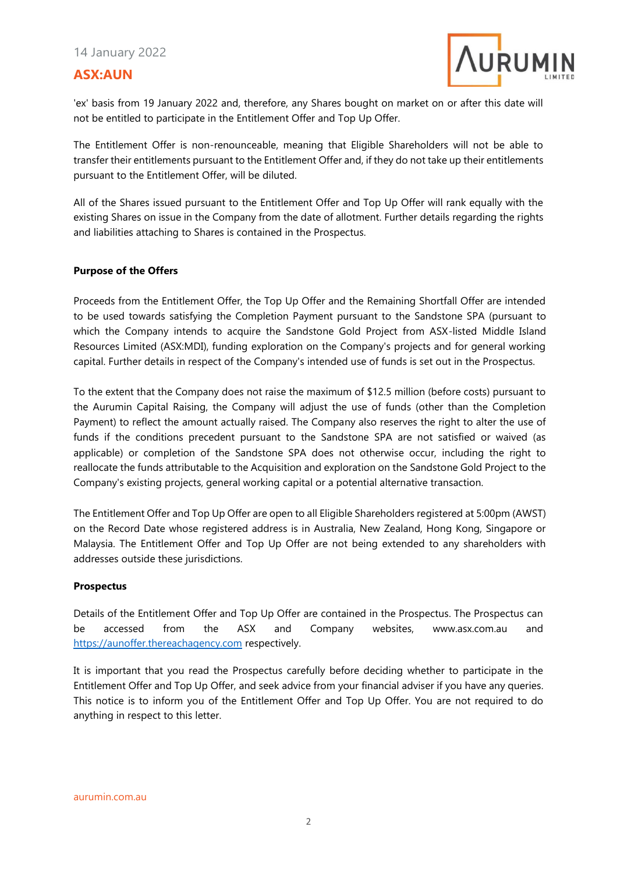### 14 January 2022

# **ASX:AUN**



'ex' basis from 19 January 2022 and, therefore, any Shares bought on market on or after this date will not be entitled to participate in the Entitlement Offer and Top Up Offer.

The Entitlement Offer is non-renounceable, meaning that Eligible Shareholders will not be able to transfer their entitlements pursuant to the Entitlement Offer and, if they do not take up their entitlements pursuant to the Entitlement Offer, will be diluted.

All of the Shares issued pursuant to the Entitlement Offer and Top Up Offer will rank equally with the existing Shares on issue in the Company from the date of allotment. Further details regarding the rights and liabilities attaching to Shares is contained in the Prospectus.

#### **Purpose of the Offers**

Proceeds from the Entitlement Offer, the Top Up Offer and the Remaining Shortfall Offer are intended to be used towards satisfying the Completion Payment pursuant to the Sandstone SPA (pursuant to which the Company intends to acquire the Sandstone Gold Project from ASX-listed Middle Island Resources Limited (ASX:MDI), funding exploration on the Company's projects and for general working capital. Further details in respect of the Company's intended use of funds is set out in the Prospectus.

To the extent that the Company does not raise the maximum of \$12.5 million (before costs) pursuant to the Aurumin Capital Raising, the Company will adjust the use of funds (other than the Completion Payment) to reflect the amount actually raised. The Company also reserves the right to alter the use of funds if the conditions precedent pursuant to the Sandstone SPA are not satisfied or waived (as applicable) or completion of the Sandstone SPA does not otherwise occur, including the right to reallocate the funds attributable to the Acquisition and exploration on the Sandstone Gold Project to the Company's existing projects, general working capital or a potential alternative transaction.

The Entitlement Offer and Top Up Offer are open to all Eligible Shareholders registered at 5:00pm (AWST) on the Record Date whose registered address is in Australia, New Zealand, Hong Kong, Singapore or Malaysia. The Entitlement Offer and Top Up Offer are not being extended to any shareholders with addresses outside these jurisdictions.

#### **Prospectus**

Details of the Entitlement Offer and Top Up Offer are contained in the Prospectus. The Prospectus can be accessed from the ASX and Company websites, www.asx.com.au and [https://aunoffer.thereachagency.com](https://aunoffer.thereachagency.com/) respectively.

It is important that you read the Prospectus carefully before deciding whether to participate in the Entitlement Offer and Top Up Offer, and seek advice from your financial adviser if you have any queries. This notice is to inform you of the Entitlement Offer and Top Up Offer. You are not required to do anything in respect to this letter.

aurumin.com.au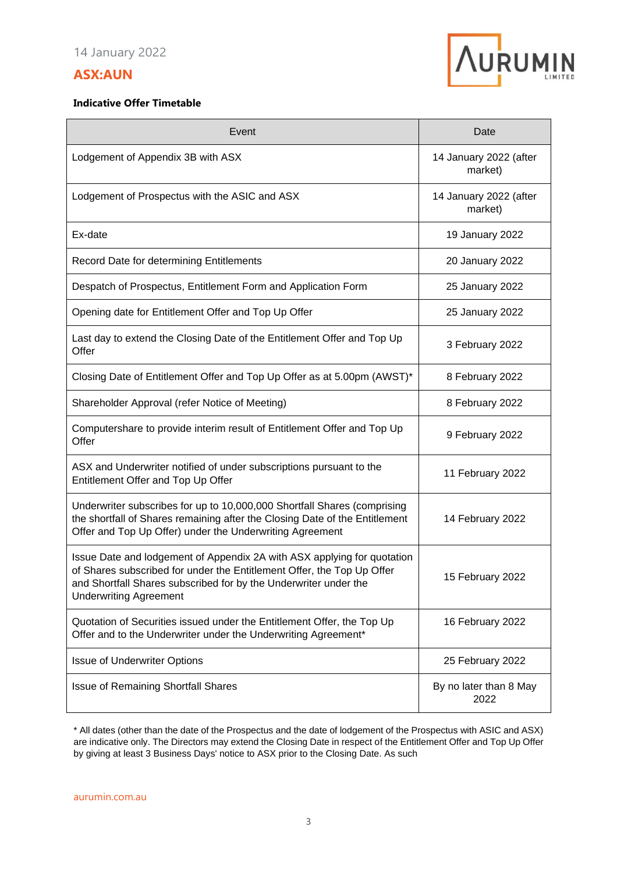# **ASX:AUN**



### **Indicative Offer Timetable**

| Event                                                                                                                                                                                                                                                  | Date                              |
|--------------------------------------------------------------------------------------------------------------------------------------------------------------------------------------------------------------------------------------------------------|-----------------------------------|
| Lodgement of Appendix 3B with ASX                                                                                                                                                                                                                      | 14 January 2022 (after<br>market) |
| Lodgement of Prospectus with the ASIC and ASX                                                                                                                                                                                                          | 14 January 2022 (after<br>market) |
| Ex-date                                                                                                                                                                                                                                                | 19 January 2022                   |
| Record Date for determining Entitlements                                                                                                                                                                                                               | 20 January 2022                   |
| Despatch of Prospectus, Entitlement Form and Application Form                                                                                                                                                                                          | 25 January 2022                   |
| Opening date for Entitlement Offer and Top Up Offer                                                                                                                                                                                                    | 25 January 2022                   |
| Last day to extend the Closing Date of the Entitlement Offer and Top Up<br>Offer                                                                                                                                                                       | 3 February 2022                   |
| Closing Date of Entitlement Offer and Top Up Offer as at 5.00pm (AWST)*                                                                                                                                                                                | 8 February 2022                   |
| Shareholder Approval (refer Notice of Meeting)                                                                                                                                                                                                         | 8 February 2022                   |
| Computershare to provide interim result of Entitlement Offer and Top Up<br>Offer                                                                                                                                                                       | 9 February 2022                   |
| ASX and Underwriter notified of under subscriptions pursuant to the<br>Entitlement Offer and Top Up Offer                                                                                                                                              | 11 February 2022                  |
| Underwriter subscribes for up to 10,000,000 Shortfall Shares (comprising<br>the shortfall of Shares remaining after the Closing Date of the Entitlement<br>Offer and Top Up Offer) under the Underwriting Agreement                                    | 14 February 2022                  |
| Issue Date and lodgement of Appendix 2A with ASX applying for quotation<br>of Shares subscribed for under the Entitlement Offer, the Top Up Offer<br>and Shortfall Shares subscribed for by the Underwriter under the<br><b>Underwriting Agreement</b> | 15 February 2022                  |
| Quotation of Securities issued under the Entitlement Offer, the Top Up<br>Offer and to the Underwriter under the Underwriting Agreement*                                                                                                               | 16 February 2022                  |
| <b>Issue of Underwriter Options</b>                                                                                                                                                                                                                    | 25 February 2022                  |
| <b>Issue of Remaining Shortfall Shares</b>                                                                                                                                                                                                             | By no later than 8 May<br>2022    |

\* All dates (other than the date of the Prospectus and the date of lodgement of the Prospectus with ASIC and ASX) are indicative only. The Directors may extend the Closing Date in respect of the Entitlement Offer and Top Up Offer by giving at least 3 Business Days' notice to ASX prior to the Closing Date. As such